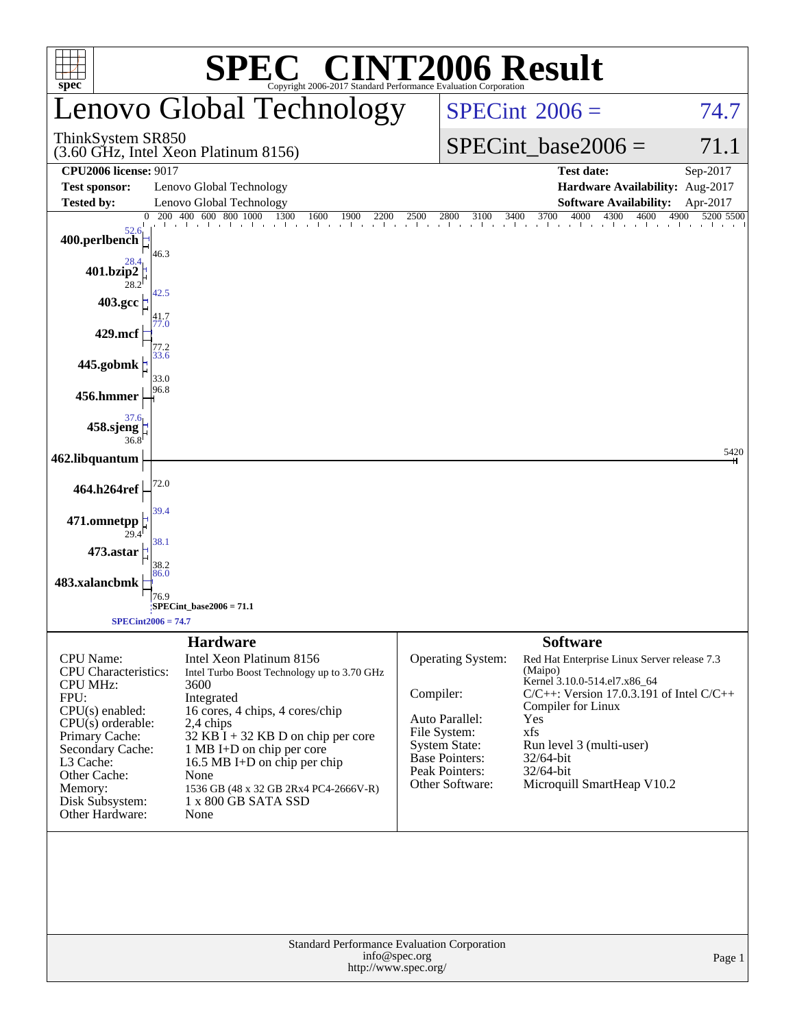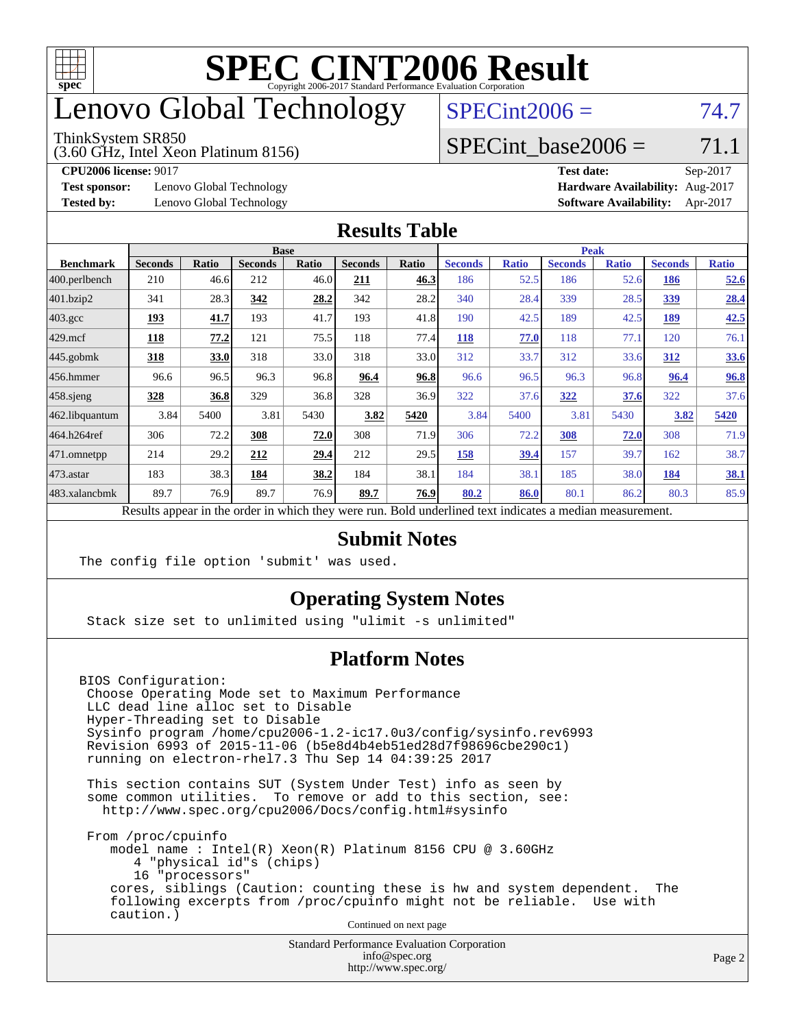

## enovo Global Technology

#### ThinkSystem SR850

(3.60 GHz, Intel Xeon Platinum 8156)

 $SPECint2006 = 74.7$  $SPECint2006 = 74.7$ 

### SPECint base2006 =  $71.1$

**[Test sponsor:](http://www.spec.org/auto/cpu2006/Docs/result-fields.html#Testsponsor)** Lenovo Global Technology **[Hardware Availability:](http://www.spec.org/auto/cpu2006/Docs/result-fields.html#HardwareAvailability)** Aug-2017

**[CPU2006 license:](http://www.spec.org/auto/cpu2006/Docs/result-fields.html#CPU2006license)** 9017 **[Test date:](http://www.spec.org/auto/cpu2006/Docs/result-fields.html#Testdate)** Sep-2017 **[Tested by:](http://www.spec.org/auto/cpu2006/Docs/result-fields.html#Testedby)** Lenovo Global Technology **[Software Availability:](http://www.spec.org/auto/cpu2006/Docs/result-fields.html#SoftwareAvailability)** Apr-2017

#### **[Results Table](http://www.spec.org/auto/cpu2006/Docs/result-fields.html#ResultsTable)**

|                                                                                                          | <b>Base</b>    |              |                |       |                | <b>Peak</b> |                |              |                |              |                |              |
|----------------------------------------------------------------------------------------------------------|----------------|--------------|----------------|-------|----------------|-------------|----------------|--------------|----------------|--------------|----------------|--------------|
| <b>Benchmark</b>                                                                                         | <b>Seconds</b> | <b>Ratio</b> | <b>Seconds</b> | Ratio | <b>Seconds</b> | Ratio       | <b>Seconds</b> | <b>Ratio</b> | <b>Seconds</b> | <b>Ratio</b> | <b>Seconds</b> | <b>Ratio</b> |
| 400.perlbench                                                                                            | 210            | 46.6         | 212            | 46.0  | 211            | 46.3        | 186            | 52.5         | 186            | 52.6         | 186            | 52.6         |
| $401$ .bzip2                                                                                             | 341            | 28.3         | 342            | 28.2  | 342            | 28.2        | 340            | 28.4         | 339            | 28.5         | <u>339</u>     | 28.4         |
| $403.\mathrm{gcc}$                                                                                       | 193            | 41.7         | 193            | 41.7  | 193            | 41.8        | 190            | 42.5         | 189            | 42.5         | 189            | 42.5         |
| $429$ mcf                                                                                                | 118            | 77.2         | 121            | 75.5  | 118            | 77.4        | 118            | 77.0         | 118            | 77.1         | 120            | 76.1         |
| $445$ .gobmk                                                                                             | <u>318</u>     | 33.0         | 318            | 33.0  | 318            | 33.0        | 312            | 33.7         | 312            | 33.6         | 312            | 33.6         |
| $456.$ hmmer                                                                                             | 96.6           | 96.5         | 96.3           | 96.8  | 96.4           | 96.8        | 96.6           | 96.5         | 96.3           | 96.8         | 96.4           | 96.8         |
| $458$ .sjeng                                                                                             | 328            | 36.8         | 329            | 36.8  | 328            | 36.9        | 322            | 37.6         | 322            | 37.6         | 322            | 37.6         |
| 462.libquantum                                                                                           | 3.84           | 5400         | 3.81           | 5430  | 3.82           | 5420        | 3.84           | 5400         | 3.81           | 5430         | 3.82           | 5420         |
| 464.h264ref                                                                                              | 306            | 72.2         | 308            | 72.0  | 308            | 71.9        | 306            | 72.2         | 308            | 72.0         | 308            | 71.9         |
| $ 471$ .omnetpp                                                                                          | 214            | 29.2         | 212            | 29.4  | 212            | 29.5        | 158            | 39.4         | 157            | 39.7         | 162            | 38.7         |
| $473$ . astar                                                                                            | 183            | 38.3         | 184            | 38.2  | 184            | 38.1        | 184            | 38.1         | 185            | 38.0         | 184            | 38.1         |
| 483.xalancbmk                                                                                            | 89.7           | 76.9         | 89.7           | 76.9  | 89.7           | 76.9        | 80.2           | 86.0         | 80.1           | 86.2         | 80.3           | 85.9         |
| Results appear in the order in which they were run. Bold underlined text indicates a median measurement. |                |              |                |       |                |             |                |              |                |              |                |              |

#### **[Submit Notes](http://www.spec.org/auto/cpu2006/Docs/result-fields.html#SubmitNotes)**

The config file option 'submit' was used.

### **[Operating System Notes](http://www.spec.org/auto/cpu2006/Docs/result-fields.html#OperatingSystemNotes)**

Stack size set to unlimited using "ulimit -s unlimited"

#### **[Platform Notes](http://www.spec.org/auto/cpu2006/Docs/result-fields.html#PlatformNotes)**

BIOS Configuration: Choose Operating Mode set to Maximum Performance LLC dead line alloc set to Disable Hyper-Threading set to Disable Sysinfo program /home/cpu2006-1.2-ic17.0u3/config/sysinfo.rev6993 Revision 6993 of 2015-11-06 (b5e8d4b4eb51ed28d7f98696cbe290c1) running on electron-rhel7.3 Thu Sep 14 04:39:25 2017

 This section contains SUT (System Under Test) info as seen by some common utilities. To remove or add to this section, see: <http://www.spec.org/cpu2006/Docs/config.html#sysinfo>

 From /proc/cpuinfo model name : Intel(R) Xeon(R) Platinum 8156 CPU @ 3.60GHz 4 "physical id"s (chips) 16 "processors" cores, siblings (Caution: counting these is hw and system dependent. The following excerpts from /proc/cpuinfo might not be reliable. Use with caution.)

Continued on next page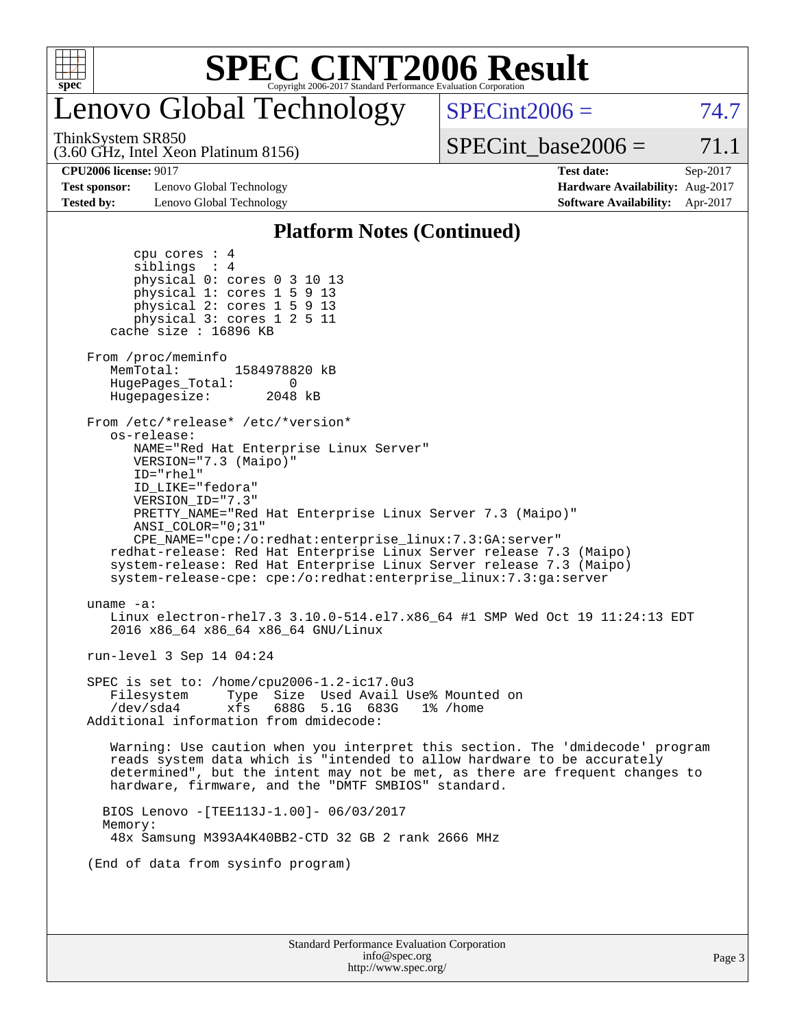

# Lenovo Global Technology

ThinkSystem SR850

 $SPECint2006 = 74.7$  $SPECint2006 = 74.7$ 

(3.60 GHz, Intel Xeon Platinum 8156)

 $SPECTnt\_base2006 = 71.1$ 

**[Test sponsor:](http://www.spec.org/auto/cpu2006/Docs/result-fields.html#Testsponsor)** Lenovo Global Technology **[Hardware Availability:](http://www.spec.org/auto/cpu2006/Docs/result-fields.html#HardwareAvailability)** Aug-2017 **[Tested by:](http://www.spec.org/auto/cpu2006/Docs/result-fields.html#Testedby)** Lenovo Global Technology **[Software Availability:](http://www.spec.org/auto/cpu2006/Docs/result-fields.html#SoftwareAvailability)** Apr-2017

**[CPU2006 license:](http://www.spec.org/auto/cpu2006/Docs/result-fields.html#CPU2006license)** 9017 **[Test date:](http://www.spec.org/auto/cpu2006/Docs/result-fields.html#Testdate)** Sep-2017

### **[Platform Notes \(Continued\)](http://www.spec.org/auto/cpu2006/Docs/result-fields.html#PlatformNotes)**

| Standard Performance Evaluation Corporation<br>info@spec.org<br>http://www.spec.org/                                                                                                                                                                                                                | P |
|-----------------------------------------------------------------------------------------------------------------------------------------------------------------------------------------------------------------------------------------------------------------------------------------------------|---|
|                                                                                                                                                                                                                                                                                                     |   |
| (End of data from sysinfo program)                                                                                                                                                                                                                                                                  |   |
| 48x Samsung M393A4K40BB2-CTD 32 GB 2 rank 2666 MHz                                                                                                                                                                                                                                                  |   |
| BIOS Lenovo - [TEE113J-1.00] - 06/03/2017<br>Memory:                                                                                                                                                                                                                                                |   |
| Warning: Use caution when you interpret this section. The 'dmidecode' program<br>reads system data which is "intended to allow hardware to be accurately<br>determined", but the intent may not be met, as there are frequent changes to<br>hardware, firmware, and the "DMTF SMBIOS" standard.     |   |
| SPEC is set to: /home/cpu2006-1.2-ic17.0u3<br>Filesystem<br>Type Size Used Avail Use% Mounted on<br>688G 5.1G 683G<br>/dev/sda4<br>xfs<br>1% /home<br>Additional information from dmidecode:                                                                                                        |   |
| run-level 3 Sep 14 04:24                                                                                                                                                                                                                                                                            |   |
| uname $-a$ :<br>Linux electron-rhel7.3 3.10.0-514.el7.x86_64 #1 SMP Wed Oct 19 11:24:13 EDT<br>2016 x86_64 x86_64 x86_64 GNU/Linux                                                                                                                                                                  |   |
| ANSI COLOR="0;31"<br>$CPE\_NAME='cpe://o:redhat:enterprise\_linux:7.3:GA:server"$<br>redhat-release: Red Hat Enterprise Linux Server release 7.3 (Maipo)<br>system-release: Red Hat Enterprise Linux Server release 7.3 (Maipo)<br>system-release-cpe: cpe:/o:redhat:enterprise_linux:7.3:ga:server |   |
| ID="rhel"<br>ID LIKE="fedora"<br>VERSION ID="7.3"<br>PRETTY NAME="Red Hat Enterprise Linux Server 7.3 (Maipo)"                                                                                                                                                                                      |   |
| From /etc/*release* /etc/*version*<br>os-release:<br>NAME="Red Hat Enterprise Linux Server"<br>VERSION="7.3 (Maipo)"                                                                                                                                                                                |   |
| From /proc/meminfo<br>MemTotal:<br>1584978820 kB<br>HugePages_Total: 0<br>Hugepagesize: 2048 kB                                                                                                                                                                                                     |   |
| cpu cores $: 4$<br>siblings : 4<br>physical 0: cores 0 3 10 13<br>physical 1: cores 1 5 9 13<br>physical 2: cores 1 5 9 13<br>physical 3: cores 1 2 5 11<br>cache size : 16896 KB                                                                                                                   |   |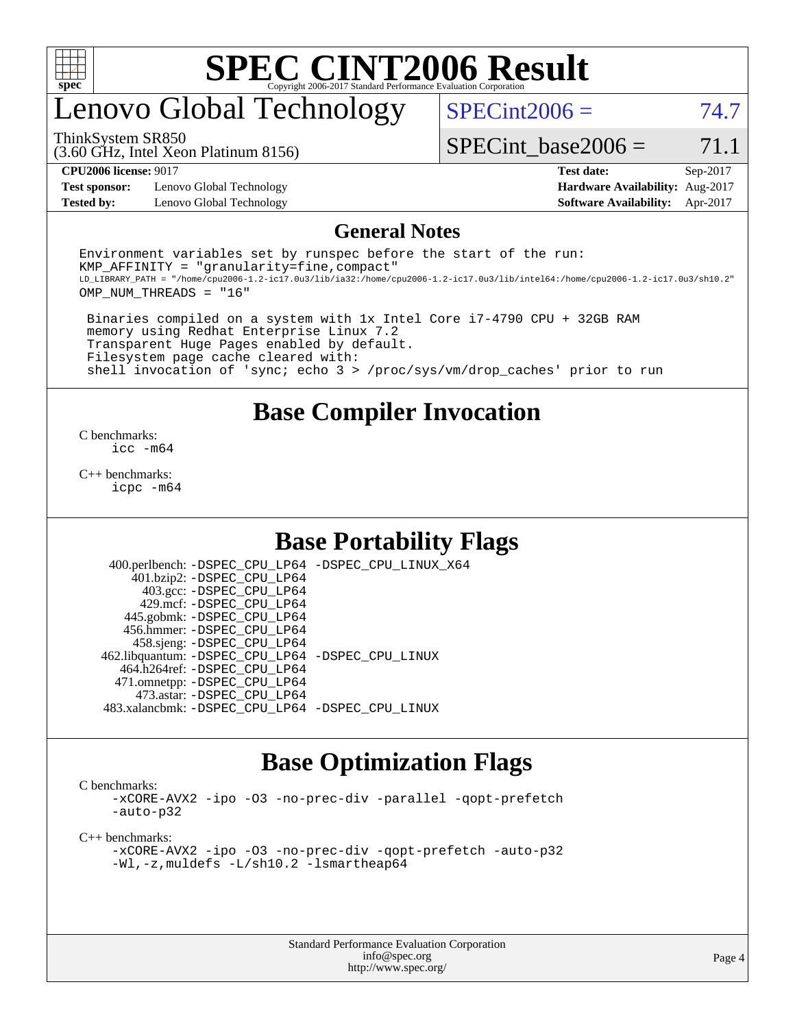

## enovo Global Technology

ThinkSystem SR850

 $SPECint2006 = 74.7$  $SPECint2006 = 74.7$ 

(3.60 GHz, Intel Xeon Platinum 8156)

SPECint base2006 =  $71.1$ 

**[Test sponsor:](http://www.spec.org/auto/cpu2006/Docs/result-fields.html#Testsponsor)** Lenovo Global Technology **[Hardware Availability:](http://www.spec.org/auto/cpu2006/Docs/result-fields.html#HardwareAvailability)** Aug-2017 **[Tested by:](http://www.spec.org/auto/cpu2006/Docs/result-fields.html#Testedby)** Lenovo Global Technology **[Software Availability:](http://www.spec.org/auto/cpu2006/Docs/result-fields.html#SoftwareAvailability)** Apr-2017

**[CPU2006 license:](http://www.spec.org/auto/cpu2006/Docs/result-fields.html#CPU2006license)** 9017 **[Test date:](http://www.spec.org/auto/cpu2006/Docs/result-fields.html#Testdate)** Sep-2017

#### **[General Notes](http://www.spec.org/auto/cpu2006/Docs/result-fields.html#GeneralNotes)**

Environment variables set by runspec before the start of the run:  $KMP$  AFFINITY = "granularity=fine, compact" LD\_LIBRARY\_PATH = "/home/cpu2006-1.2-ic17.0u3/lib/ia32:/home/cpu2006-1.2-ic17.0u3/lib/intel64:/home/cpu2006-1.2-ic17.0u3/sh10.2" OMP\_NUM\_THREADS = "16"

 Binaries compiled on a system with 1x Intel Core i7-4790 CPU + 32GB RAM memory using Redhat Enterprise Linux 7.2 Transparent Huge Pages enabled by default. Filesystem page cache cleared with: shell invocation of 'sync; echo 3 > /proc/sys/vm/drop\_caches' prior to run

### **[Base Compiler Invocation](http://www.spec.org/auto/cpu2006/Docs/result-fields.html#BaseCompilerInvocation)**

[C benchmarks](http://www.spec.org/auto/cpu2006/Docs/result-fields.html#Cbenchmarks): [icc -m64](http://www.spec.org/cpu2006/results/res2017q4/cpu2006-20170918-49953.flags.html#user_CCbase_intel_icc_64bit_bda6cc9af1fdbb0edc3795bac97ada53)

[C++ benchmarks:](http://www.spec.org/auto/cpu2006/Docs/result-fields.html#CXXbenchmarks) [icpc -m64](http://www.spec.org/cpu2006/results/res2017q4/cpu2006-20170918-49953.flags.html#user_CXXbase_intel_icpc_64bit_fc66a5337ce925472a5c54ad6a0de310)

### **[Base Portability Flags](http://www.spec.org/auto/cpu2006/Docs/result-fields.html#BasePortabilityFlags)**

 400.perlbench: [-DSPEC\\_CPU\\_LP64](http://www.spec.org/cpu2006/results/res2017q4/cpu2006-20170918-49953.flags.html#b400.perlbench_basePORTABILITY_DSPEC_CPU_LP64) [-DSPEC\\_CPU\\_LINUX\\_X64](http://www.spec.org/cpu2006/results/res2017q4/cpu2006-20170918-49953.flags.html#b400.perlbench_baseCPORTABILITY_DSPEC_CPU_LINUX_X64) 401.bzip2: [-DSPEC\\_CPU\\_LP64](http://www.spec.org/cpu2006/results/res2017q4/cpu2006-20170918-49953.flags.html#suite_basePORTABILITY401_bzip2_DSPEC_CPU_LP64) 403.gcc: [-DSPEC\\_CPU\\_LP64](http://www.spec.org/cpu2006/results/res2017q4/cpu2006-20170918-49953.flags.html#suite_basePORTABILITY403_gcc_DSPEC_CPU_LP64) 429.mcf: [-DSPEC\\_CPU\\_LP64](http://www.spec.org/cpu2006/results/res2017q4/cpu2006-20170918-49953.flags.html#suite_basePORTABILITY429_mcf_DSPEC_CPU_LP64) 445.gobmk: [-DSPEC\\_CPU\\_LP64](http://www.spec.org/cpu2006/results/res2017q4/cpu2006-20170918-49953.flags.html#suite_basePORTABILITY445_gobmk_DSPEC_CPU_LP64) 456.hmmer: [-DSPEC\\_CPU\\_LP64](http://www.spec.org/cpu2006/results/res2017q4/cpu2006-20170918-49953.flags.html#suite_basePORTABILITY456_hmmer_DSPEC_CPU_LP64) 458.sjeng: [-DSPEC\\_CPU\\_LP64](http://www.spec.org/cpu2006/results/res2017q4/cpu2006-20170918-49953.flags.html#suite_basePORTABILITY458_sjeng_DSPEC_CPU_LP64) 462.libquantum: [-DSPEC\\_CPU\\_LP64](http://www.spec.org/cpu2006/results/res2017q4/cpu2006-20170918-49953.flags.html#suite_basePORTABILITY462_libquantum_DSPEC_CPU_LP64) [-DSPEC\\_CPU\\_LINUX](http://www.spec.org/cpu2006/results/res2017q4/cpu2006-20170918-49953.flags.html#b462.libquantum_baseCPORTABILITY_DSPEC_CPU_LINUX) 464.h264ref: [-DSPEC\\_CPU\\_LP64](http://www.spec.org/cpu2006/results/res2017q4/cpu2006-20170918-49953.flags.html#suite_basePORTABILITY464_h264ref_DSPEC_CPU_LP64) 471.omnetpp: [-DSPEC\\_CPU\\_LP64](http://www.spec.org/cpu2006/results/res2017q4/cpu2006-20170918-49953.flags.html#suite_basePORTABILITY471_omnetpp_DSPEC_CPU_LP64) 473.astar: [-DSPEC\\_CPU\\_LP64](http://www.spec.org/cpu2006/results/res2017q4/cpu2006-20170918-49953.flags.html#suite_basePORTABILITY473_astar_DSPEC_CPU_LP64) 483.xalancbmk: [-DSPEC\\_CPU\\_LP64](http://www.spec.org/cpu2006/results/res2017q4/cpu2006-20170918-49953.flags.html#suite_basePORTABILITY483_xalancbmk_DSPEC_CPU_LP64) [-DSPEC\\_CPU\\_LINUX](http://www.spec.org/cpu2006/results/res2017q4/cpu2006-20170918-49953.flags.html#b483.xalancbmk_baseCXXPORTABILITY_DSPEC_CPU_LINUX)

### **[Base Optimization Flags](http://www.spec.org/auto/cpu2006/Docs/result-fields.html#BaseOptimizationFlags)**

[C benchmarks](http://www.spec.org/auto/cpu2006/Docs/result-fields.html#Cbenchmarks):

[-xCORE-AVX2](http://www.spec.org/cpu2006/results/res2017q4/cpu2006-20170918-49953.flags.html#user_CCbase_f-xCORE-AVX2) [-ipo](http://www.spec.org/cpu2006/results/res2017q4/cpu2006-20170918-49953.flags.html#user_CCbase_f-ipo) [-O3](http://www.spec.org/cpu2006/results/res2017q4/cpu2006-20170918-49953.flags.html#user_CCbase_f-O3) [-no-prec-div](http://www.spec.org/cpu2006/results/res2017q4/cpu2006-20170918-49953.flags.html#user_CCbase_f-no-prec-div) [-parallel](http://www.spec.org/cpu2006/results/res2017q4/cpu2006-20170918-49953.flags.html#user_CCbase_f-parallel) [-qopt-prefetch](http://www.spec.org/cpu2006/results/res2017q4/cpu2006-20170918-49953.flags.html#user_CCbase_f-qopt-prefetch) [-auto-p32](http://www.spec.org/cpu2006/results/res2017q4/cpu2006-20170918-49953.flags.html#user_CCbase_f-auto-p32)

[C++ benchmarks:](http://www.spec.org/auto/cpu2006/Docs/result-fields.html#CXXbenchmarks)

[-xCORE-AVX2](http://www.spec.org/cpu2006/results/res2017q4/cpu2006-20170918-49953.flags.html#user_CXXbase_f-xCORE-AVX2) [-ipo](http://www.spec.org/cpu2006/results/res2017q4/cpu2006-20170918-49953.flags.html#user_CXXbase_f-ipo) [-O3](http://www.spec.org/cpu2006/results/res2017q4/cpu2006-20170918-49953.flags.html#user_CXXbase_f-O3) [-no-prec-div](http://www.spec.org/cpu2006/results/res2017q4/cpu2006-20170918-49953.flags.html#user_CXXbase_f-no-prec-div) [-qopt-prefetch](http://www.spec.org/cpu2006/results/res2017q4/cpu2006-20170918-49953.flags.html#user_CXXbase_f-qopt-prefetch) [-auto-p32](http://www.spec.org/cpu2006/results/res2017q4/cpu2006-20170918-49953.flags.html#user_CXXbase_f-auto-p32) [-Wl,-z,muldefs](http://www.spec.org/cpu2006/results/res2017q4/cpu2006-20170918-49953.flags.html#user_CXXbase_link_force_multiple1_74079c344b956b9658436fd1b6dd3a8a) [-L/sh10.2 -lsmartheap64](http://www.spec.org/cpu2006/results/res2017q4/cpu2006-20170918-49953.flags.html#user_CXXbase_SmartHeap64_63911d860fc08c15fa1d5bf319b9d8d5)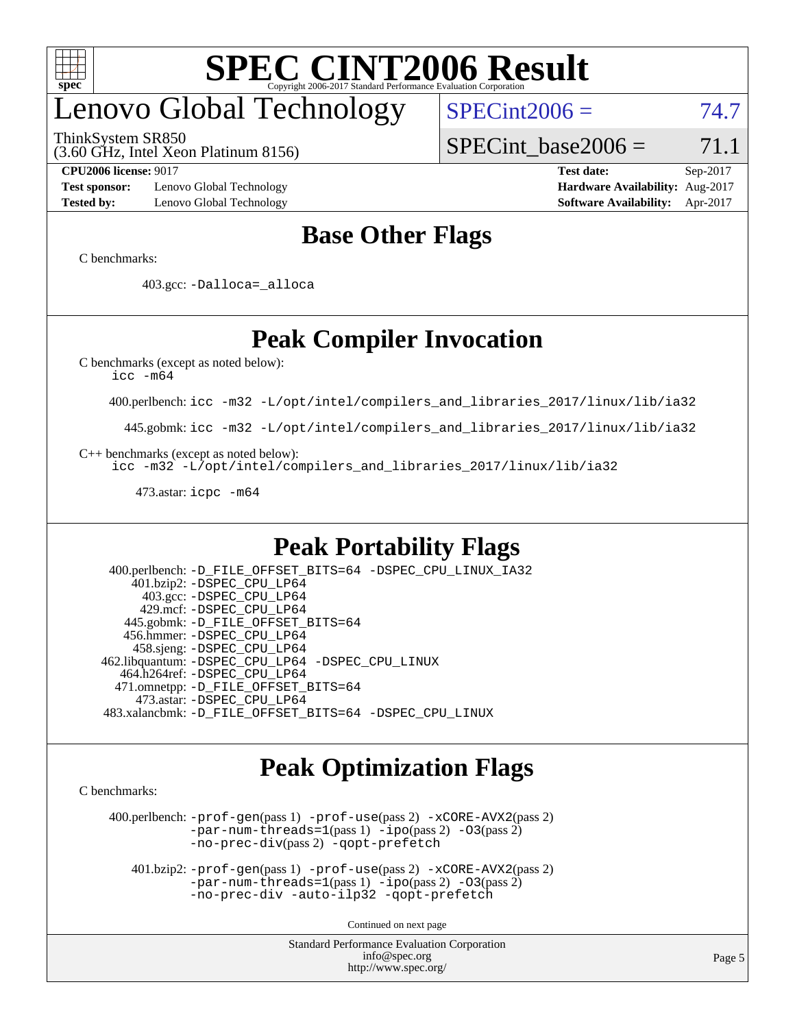

## enovo Global Technology

ThinkSystem SR850

 $SPECint2006 = 74.7$  $SPECint2006 = 74.7$ 

(3.60 GHz, Intel Xeon Platinum 8156)

**[Test sponsor:](http://www.spec.org/auto/cpu2006/Docs/result-fields.html#Testsponsor)** Lenovo Global Technology **[Hardware Availability:](http://www.spec.org/auto/cpu2006/Docs/result-fields.html#HardwareAvailability)** Aug-2017 **[Tested by:](http://www.spec.org/auto/cpu2006/Docs/result-fields.html#Testedby)** Lenovo Global Technology **[Software Availability:](http://www.spec.org/auto/cpu2006/Docs/result-fields.html#SoftwareAvailability)** Apr-2017

SPECint base2006 =  $71.1$ 

**[CPU2006 license:](http://www.spec.org/auto/cpu2006/Docs/result-fields.html#CPU2006license)** 9017 **[Test date:](http://www.spec.org/auto/cpu2006/Docs/result-fields.html#Testdate)** Sep-2017

### **[Base Other Flags](http://www.spec.org/auto/cpu2006/Docs/result-fields.html#BaseOtherFlags)**

[C benchmarks](http://www.spec.org/auto/cpu2006/Docs/result-fields.html#Cbenchmarks):

403.gcc: [-Dalloca=\\_alloca](http://www.spec.org/cpu2006/results/res2017q4/cpu2006-20170918-49953.flags.html#b403.gcc_baseEXTRA_CFLAGS_Dalloca_be3056838c12de2578596ca5467af7f3)

## **[Peak Compiler Invocation](http://www.spec.org/auto/cpu2006/Docs/result-fields.html#PeakCompilerInvocation)**

[C benchmarks \(except as noted below\)](http://www.spec.org/auto/cpu2006/Docs/result-fields.html#Cbenchmarksexceptasnotedbelow):

[icc -m64](http://www.spec.org/cpu2006/results/res2017q4/cpu2006-20170918-49953.flags.html#user_CCpeak_intel_icc_64bit_bda6cc9af1fdbb0edc3795bac97ada53)

400.perlbench: [icc -m32 -L/opt/intel/compilers\\_and\\_libraries\\_2017/linux/lib/ia32](http://www.spec.org/cpu2006/results/res2017q4/cpu2006-20170918-49953.flags.html#user_peakCCLD400_perlbench_intel_icc_c29f3ff5a7ed067b11e4ec10a03f03ae)

445.gobmk: [icc -m32 -L/opt/intel/compilers\\_and\\_libraries\\_2017/linux/lib/ia32](http://www.spec.org/cpu2006/results/res2017q4/cpu2006-20170918-49953.flags.html#user_peakCCLD445_gobmk_intel_icc_c29f3ff5a7ed067b11e4ec10a03f03ae)

[C++ benchmarks \(except as noted below\):](http://www.spec.org/auto/cpu2006/Docs/result-fields.html#CXXbenchmarksexceptasnotedbelow)

[icc -m32 -L/opt/intel/compilers\\_and\\_libraries\\_2017/linux/lib/ia32](http://www.spec.org/cpu2006/results/res2017q4/cpu2006-20170918-49953.flags.html#user_CXXpeak_intel_icc_c29f3ff5a7ed067b11e4ec10a03f03ae)

473.astar: [icpc -m64](http://www.spec.org/cpu2006/results/res2017q4/cpu2006-20170918-49953.flags.html#user_peakCXXLD473_astar_intel_icpc_64bit_fc66a5337ce925472a5c54ad6a0de310)

### **[Peak Portability Flags](http://www.spec.org/auto/cpu2006/Docs/result-fields.html#PeakPortabilityFlags)**

 400.perlbench: [-D\\_FILE\\_OFFSET\\_BITS=64](http://www.spec.org/cpu2006/results/res2017q4/cpu2006-20170918-49953.flags.html#user_peakPORTABILITY400_perlbench_file_offset_bits_64_438cf9856305ebd76870a2c6dc2689ab) [-DSPEC\\_CPU\\_LINUX\\_IA32](http://www.spec.org/cpu2006/results/res2017q4/cpu2006-20170918-49953.flags.html#b400.perlbench_peakCPORTABILITY_DSPEC_CPU_LINUX_IA32) 401.bzip2: [-DSPEC\\_CPU\\_LP64](http://www.spec.org/cpu2006/results/res2017q4/cpu2006-20170918-49953.flags.html#suite_peakPORTABILITY401_bzip2_DSPEC_CPU_LP64) 403.gcc: [-DSPEC\\_CPU\\_LP64](http://www.spec.org/cpu2006/results/res2017q4/cpu2006-20170918-49953.flags.html#suite_peakPORTABILITY403_gcc_DSPEC_CPU_LP64) 429.mcf: [-DSPEC\\_CPU\\_LP64](http://www.spec.org/cpu2006/results/res2017q4/cpu2006-20170918-49953.flags.html#suite_peakPORTABILITY429_mcf_DSPEC_CPU_LP64) 445.gobmk: [-D\\_FILE\\_OFFSET\\_BITS=64](http://www.spec.org/cpu2006/results/res2017q4/cpu2006-20170918-49953.flags.html#user_peakPORTABILITY445_gobmk_file_offset_bits_64_438cf9856305ebd76870a2c6dc2689ab) 456.hmmer: [-DSPEC\\_CPU\\_LP64](http://www.spec.org/cpu2006/results/res2017q4/cpu2006-20170918-49953.flags.html#suite_peakPORTABILITY456_hmmer_DSPEC_CPU_LP64) 458.sjeng: [-DSPEC\\_CPU\\_LP64](http://www.spec.org/cpu2006/results/res2017q4/cpu2006-20170918-49953.flags.html#suite_peakPORTABILITY458_sjeng_DSPEC_CPU_LP64) 462.libquantum: [-DSPEC\\_CPU\\_LP64](http://www.spec.org/cpu2006/results/res2017q4/cpu2006-20170918-49953.flags.html#suite_peakPORTABILITY462_libquantum_DSPEC_CPU_LP64) [-DSPEC\\_CPU\\_LINUX](http://www.spec.org/cpu2006/results/res2017q4/cpu2006-20170918-49953.flags.html#b462.libquantum_peakCPORTABILITY_DSPEC_CPU_LINUX) 464.h264ref: [-DSPEC\\_CPU\\_LP64](http://www.spec.org/cpu2006/results/res2017q4/cpu2006-20170918-49953.flags.html#suite_peakPORTABILITY464_h264ref_DSPEC_CPU_LP64) 471.omnetpp: [-D\\_FILE\\_OFFSET\\_BITS=64](http://www.spec.org/cpu2006/results/res2017q4/cpu2006-20170918-49953.flags.html#user_peakPORTABILITY471_omnetpp_file_offset_bits_64_438cf9856305ebd76870a2c6dc2689ab) 473.astar: [-DSPEC\\_CPU\\_LP64](http://www.spec.org/cpu2006/results/res2017q4/cpu2006-20170918-49953.flags.html#suite_peakPORTABILITY473_astar_DSPEC_CPU_LP64) 483.xalancbmk: [-D\\_FILE\\_OFFSET\\_BITS=64](http://www.spec.org/cpu2006/results/res2017q4/cpu2006-20170918-49953.flags.html#user_peakPORTABILITY483_xalancbmk_file_offset_bits_64_438cf9856305ebd76870a2c6dc2689ab) [-DSPEC\\_CPU\\_LINUX](http://www.spec.org/cpu2006/results/res2017q4/cpu2006-20170918-49953.flags.html#b483.xalancbmk_peakCXXPORTABILITY_DSPEC_CPU_LINUX)

### **[Peak Optimization Flags](http://www.spec.org/auto/cpu2006/Docs/result-fields.html#PeakOptimizationFlags)**

[C benchmarks](http://www.spec.org/auto/cpu2006/Docs/result-fields.html#Cbenchmarks):

 400.perlbench: [-prof-gen](http://www.spec.org/cpu2006/results/res2017q4/cpu2006-20170918-49953.flags.html#user_peakPASS1_CFLAGSPASS1_LDCFLAGS400_perlbench_prof_gen_e43856698f6ca7b7e442dfd80e94a8fc)(pass 1) [-prof-use](http://www.spec.org/cpu2006/results/res2017q4/cpu2006-20170918-49953.flags.html#user_peakPASS2_CFLAGSPASS2_LDCFLAGS400_perlbench_prof_use_bccf7792157ff70d64e32fe3e1250b55)(pass 2) [-xCORE-AVX2](http://www.spec.org/cpu2006/results/res2017q4/cpu2006-20170918-49953.flags.html#user_peakPASS2_CFLAGSPASS2_LDCFLAGS400_perlbench_f-xCORE-AVX2)(pass 2) [-par-num-threads=1](http://www.spec.org/cpu2006/results/res2017q4/cpu2006-20170918-49953.flags.html#user_peakPASS1_CFLAGSPASS1_LDCFLAGS400_perlbench_par_num_threads_786a6ff141b4e9e90432e998842df6c2)(pass 1) [-ipo](http://www.spec.org/cpu2006/results/res2017q4/cpu2006-20170918-49953.flags.html#user_peakPASS2_CFLAGSPASS2_LDCFLAGS400_perlbench_f-ipo)(pass 2) [-O3](http://www.spec.org/cpu2006/results/res2017q4/cpu2006-20170918-49953.flags.html#user_peakPASS2_CFLAGSPASS2_LDCFLAGS400_perlbench_f-O3)(pass 2) [-no-prec-div](http://www.spec.org/cpu2006/results/res2017q4/cpu2006-20170918-49953.flags.html#user_peakPASS2_CFLAGSPASS2_LDCFLAGS400_perlbench_f-no-prec-div)(pass 2) [-qopt-prefetch](http://www.spec.org/cpu2006/results/res2017q4/cpu2006-20170918-49953.flags.html#user_peakCOPTIMIZE400_perlbench_f-qopt-prefetch)

 401.bzip2: [-prof-gen](http://www.spec.org/cpu2006/results/res2017q4/cpu2006-20170918-49953.flags.html#user_peakPASS1_CFLAGSPASS1_LDCFLAGS401_bzip2_prof_gen_e43856698f6ca7b7e442dfd80e94a8fc)(pass 1) [-prof-use](http://www.spec.org/cpu2006/results/res2017q4/cpu2006-20170918-49953.flags.html#user_peakPASS2_CFLAGSPASS2_LDCFLAGS401_bzip2_prof_use_bccf7792157ff70d64e32fe3e1250b55)(pass 2) [-xCORE-AVX2](http://www.spec.org/cpu2006/results/res2017q4/cpu2006-20170918-49953.flags.html#user_peakPASS2_CFLAGSPASS2_LDCFLAGS401_bzip2_f-xCORE-AVX2)(pass 2)  $-par-num-threads=1(pass 1) -ipo(pass 2) -O3(pass 2)$  $-par-num-threads=1(pass 1) -ipo(pass 2) -O3(pass 2)$  $-par-num-threads=1(pass 1) -ipo(pass 2) -O3(pass 2)$  $-par-num-threads=1(pass 1) -ipo(pass 2) -O3(pass 2)$  $-par-num-threads=1(pass 1) -ipo(pass 2) -O3(pass 2)$  $-par-num-threads=1(pass 1) -ipo(pass 2) -O3(pass 2)$ [-no-prec-div](http://www.spec.org/cpu2006/results/res2017q4/cpu2006-20170918-49953.flags.html#user_peakCOPTIMIZEPASS2_CFLAGSPASS2_LDCFLAGS401_bzip2_f-no-prec-div) [-auto-ilp32](http://www.spec.org/cpu2006/results/res2017q4/cpu2006-20170918-49953.flags.html#user_peakCOPTIMIZE401_bzip2_f-auto-ilp32) [-qopt-prefetch](http://www.spec.org/cpu2006/results/res2017q4/cpu2006-20170918-49953.flags.html#user_peakCOPTIMIZE401_bzip2_f-qopt-prefetch)

Continued on next page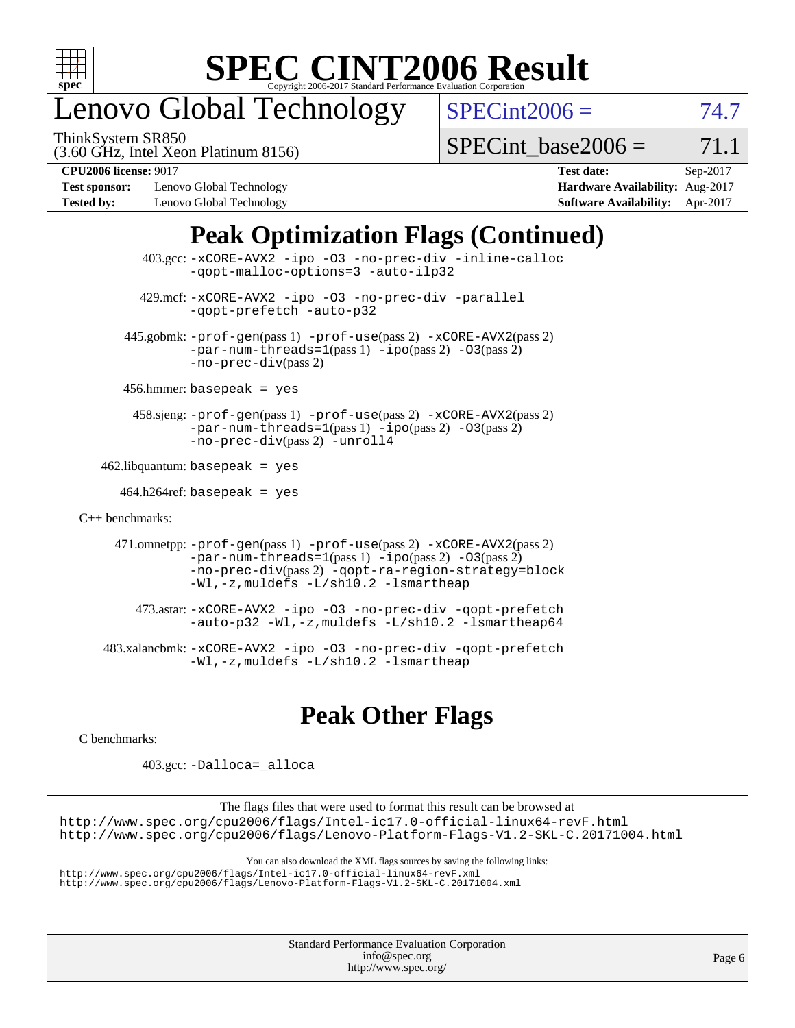

## enovo Global Technology

ThinkSystem SR850

 $SPECint2006 = 74.7$  $SPECint2006 = 74.7$ 

(3.60 GHz, Intel Xeon Platinum 8156)

 $SPECTnt\_base2006 = 71.1$ 

**[Test sponsor:](http://www.spec.org/auto/cpu2006/Docs/result-fields.html#Testsponsor)** Lenovo Global Technology **[Hardware Availability:](http://www.spec.org/auto/cpu2006/Docs/result-fields.html#HardwareAvailability)** Aug-2017 **[Tested by:](http://www.spec.org/auto/cpu2006/Docs/result-fields.html#Testedby)** Lenovo Global Technology **[Software Availability:](http://www.spec.org/auto/cpu2006/Docs/result-fields.html#SoftwareAvailability)** Apr-2017

**[CPU2006 license:](http://www.spec.org/auto/cpu2006/Docs/result-fields.html#CPU2006license)** 9017 **[Test date:](http://www.spec.org/auto/cpu2006/Docs/result-fields.html#Testdate)** Sep-2017

## **[Peak Optimization Flags \(Continued\)](http://www.spec.org/auto/cpu2006/Docs/result-fields.html#PeakOptimizationFlags)**

|                                   | $403.\text{sec}: -x \text{CORE-AVX2}$ -ipo -03 -no-prec-div -inline-calloc<br>-qopt-malloc-options=3 -auto-ilp32                                                                                                              |
|-----------------------------------|-------------------------------------------------------------------------------------------------------------------------------------------------------------------------------------------------------------------------------|
|                                   | 429.mcf: -xCORE-AVX2 -ipo -03 -no-prec-div -parallel<br>-gopt-prefetch -auto-p32                                                                                                                                              |
|                                   | 445.gobmk: -prof-gen(pass 1) -prof-use(pass 2) -xCORE-AVX2(pass 2)<br>$-par-num-threads=1(pass 1) -ipo(pass 2) -03(pass 2)$<br>$-no-prec-div(pass 2)$                                                                         |
|                                   | $456.$ hmmer: basepeak = yes                                                                                                                                                                                                  |
|                                   | 458.sjeng: -prof-gen(pass 1) -prof-use(pass 2) -xCORE-AVX2(pass 2)<br>$-par-num-threads=1(pass 1) -ipo(pass 2) -03(pass 2)$<br>-no-prec-div(pass 2) -unroll4                                                                  |
| $462$ .libquantum: basepeak = yes |                                                                                                                                                                                                                               |
|                                   | $464.h264$ ref: basepeak = yes                                                                                                                                                                                                |
| $C_{++}$ benchmarks:              |                                                                                                                                                                                                                               |
|                                   | 471.omnetpp: -prof-gen(pass 1) -prof-use(pass 2) -xCORE-AVX2(pass 2)<br>$-par-num-threads=1(pass 1) -ipo(pass 2) -03(pass 2)$<br>-no-prec-div(pass 2) -qopt-ra-region-strategy=block<br>-Wl,-z, muldefs -L/sh10.2 -lsmartheap |
|                                   | 473.astar: -xCORE-AVX2 -ipo -03 -no-prec-div -qopt-prefetch<br>$-$ auto-p32 -Wl,-z, muldefs -L/sh10.2 -lsmartheap64                                                                                                           |
|                                   | 483.xalancbmk: -xCORE-AVX2 -ipo -03 -no-prec-div -qopt-prefetch<br>$-Wl$ ,-z, muldefs $-L/\nabla L$ .2 -lsmartheap                                                                                                            |

### **[Peak Other Flags](http://www.spec.org/auto/cpu2006/Docs/result-fields.html#PeakOtherFlags)**

[C benchmarks](http://www.spec.org/auto/cpu2006/Docs/result-fields.html#Cbenchmarks):

403.gcc: [-Dalloca=\\_alloca](http://www.spec.org/cpu2006/results/res2017q4/cpu2006-20170918-49953.flags.html#b403.gcc_peakEXTRA_CFLAGS_Dalloca_be3056838c12de2578596ca5467af7f3)

The flags files that were used to format this result can be browsed at <http://www.spec.org/cpu2006/flags/Intel-ic17.0-official-linux64-revF.html> <http://www.spec.org/cpu2006/flags/Lenovo-Platform-Flags-V1.2-SKL-C.20171004.html>

You can also download the XML flags sources by saving the following links:

<http://www.spec.org/cpu2006/flags/Intel-ic17.0-official-linux64-revF.xml> <http://www.spec.org/cpu2006/flags/Lenovo-Platform-Flags-V1.2-SKL-C.20171004.xml>